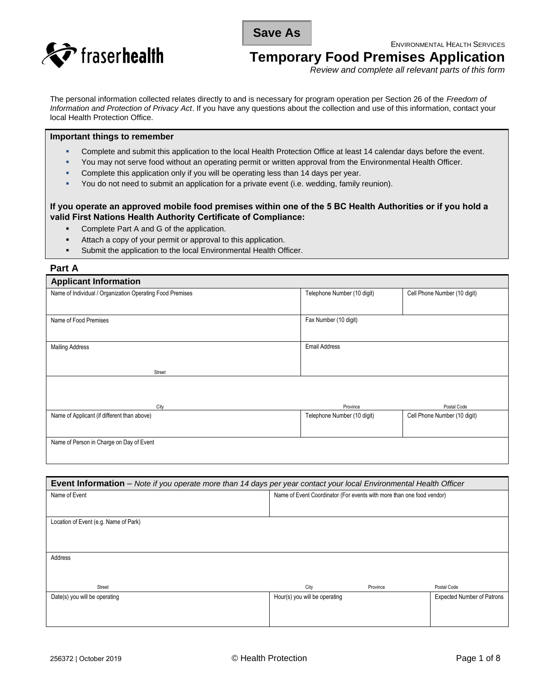**Save As**

ENVIRONMENTAL HEALTH SERVICES



**Temporary Food Premises Application** 

*Review and complete all relevant parts of this form* 

The personal information collected relates directly to and is necessary for program operation per Section 26 of the *Freedom of Information and Protection of Privacy Act*. If you have any questions about the collection and use of this information, contact your local Health Protection Office.

#### **Important things to remember**

- Complete and submit this application to the local Health Protection Office at least 14 calendar days before the event.
- You may not serve food without an operating permit or written approval from the Environmental Health Officer.
- Complete this application only if you will be operating less than 14 days per year.
- You do not need to submit an application for a private event (i.e. wedding, family reunion).

## **If you operate an approved mobile food premises within one of the 5 BC Health Authorities or if you hold a valid First Nations Health Authority Certificate of Compliance:**

- Complete Part A and G of the application.
- Attach a copy of your permit or approval to this application.
- Submit the application to the local Environmental Health Officer.

### **Part A**

| <b>Applicant Information</b>                              |                             |                              |  |
|-----------------------------------------------------------|-----------------------------|------------------------------|--|
| Name of Individual / Organization Operating Food Premises | Telephone Number (10 digit) | Cell Phone Number (10 digit) |  |
|                                                           |                             |                              |  |
| Name of Food Premises                                     | Fax Number (10 digit)       |                              |  |
|                                                           |                             |                              |  |
| <b>Mailing Address</b>                                    | <b>Email Address</b>        |                              |  |
|                                                           |                             |                              |  |
| Street                                                    |                             |                              |  |
|                                                           |                             |                              |  |
|                                                           |                             |                              |  |
| City                                                      | Province                    | Postal Code                  |  |
| Name of Applicant (if different than above)               | Telephone Number (10 digit) | Cell Phone Number (10 digit) |  |
|                                                           |                             |                              |  |
| Name of Person in Charge on Day of Event                  |                             |                              |  |
|                                                           |                             |                              |  |

| Event Information - Note if you operate more than 14 days per year contact your local Environmental Health Officer |                                                                       |          |                                   |
|--------------------------------------------------------------------------------------------------------------------|-----------------------------------------------------------------------|----------|-----------------------------------|
| Name of Event                                                                                                      | Name of Event Coordinator (For events with more than one food vendor) |          |                                   |
|                                                                                                                    |                                                                       |          |                                   |
| Location of Event (e.g. Name of Park)                                                                              |                                                                       |          |                                   |
|                                                                                                                    |                                                                       |          |                                   |
|                                                                                                                    |                                                                       |          |                                   |
| Address                                                                                                            |                                                                       |          |                                   |
|                                                                                                                    |                                                                       |          |                                   |
| Street                                                                                                             | City                                                                  | Province | Postal Code                       |
| Date(s) you will be operating                                                                                      | Hour(s) you will be operating                                         |          | <b>Expected Number of Patrons</b> |
|                                                                                                                    |                                                                       |          |                                   |
|                                                                                                                    |                                                                       |          |                                   |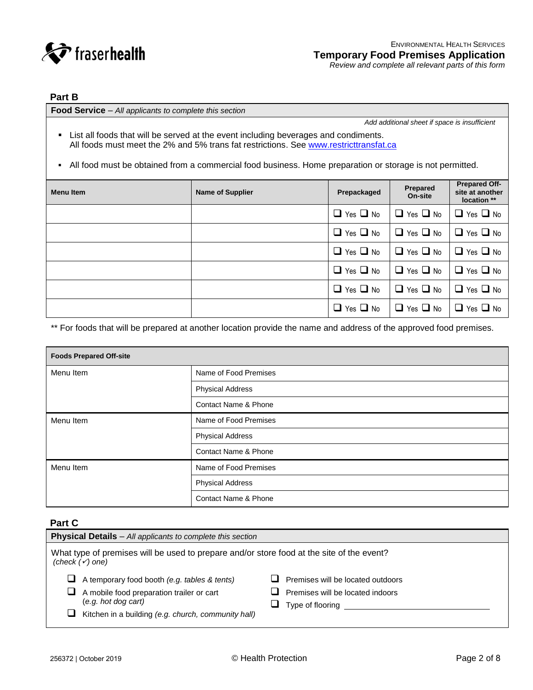

# **Part B**

**Food Service** – *All applicants to complete this section*

*Add additional sheet if space is insufficient*

- **EXTERN** List all foods that will be served at the event including beverages and condiments. All foods must meet the 2% and 5% trans fat restrictions. See www.restricttransfat.ca
- All food must be obtained from a commercial food business. Home preparation or storage is not permitted.

| <b>Menu Item</b> | <b>Name of Supplier</b> | Prepackaged             | Prepared<br>On-site     | <b>Prepared Off-</b><br>site at another<br>location ** |
|------------------|-------------------------|-------------------------|-------------------------|--------------------------------------------------------|
|                  |                         | $\Box$ Yes $\Box$ No    | Yes $\Box$ No<br>ப      | $\Box$ Yes $\Box$ No                                   |
|                  |                         | $\Box$ Yes $\Box$ No    | $\Box$ Yes $\Box$ No    | $\Box$ Yes $\Box$ No                                   |
|                  |                         | Yes $\Box$ No<br>□      | Yes $\Box$ No<br>❏      | $\Box$ Yes $\Box$ No                                   |
|                  |                         | Yes $\Box$ No<br>$\Box$ | Yes $\Box$ No<br>$\Box$ | $\Box$ Yes $\Box$ No                                   |
|                  |                         | $\Box$ Yes $\Box$ No    | $\Box$ Yes $\Box$ No    | $\Box$ Yes $\Box$ No                                   |
|                  |                         | $\Box$ Yes $\Box$ No    | Yes $\Box$ No<br>◻      | $\Box$ Yes $\Box$ No                                   |

\*\* For foods that will be prepared at another location provide the name and address of the approved food premises.

| <b>Foods Prepared Off-site</b> |                                 |  |
|--------------------------------|---------------------------------|--|
| Menu Item                      | Name of Food Premises           |  |
|                                | <b>Physical Address</b>         |  |
|                                | <b>Contact Name &amp; Phone</b> |  |
| Menu Item                      | Name of Food Premises           |  |
|                                | <b>Physical Address</b>         |  |
|                                | <b>Contact Name &amp; Phone</b> |  |
| Menu Item                      | Name of Food Premises           |  |
|                                | <b>Physical Address</b>         |  |
|                                | <b>Contact Name &amp; Phone</b> |  |

# **Part C**

| <b>Physical Details</b> – All applicants to complete this section                                                                                                                                  |                                                                                           |  |  |
|----------------------------------------------------------------------------------------------------------------------------------------------------------------------------------------------------|-------------------------------------------------------------------------------------------|--|--|
| What type of premises will be used to prepare and/or store food at the site of the event?<br>(check $(\checkmark)$ one)                                                                            |                                                                                           |  |  |
| A temporary food booth (e.g. tables & tents)<br>ப<br>A mobile food preparation trailer or cart<br>ப<br>(e.g. hot dog cart)<br>Kitchen in a building (e.g. church, community hall)<br>$\mathcal{L}$ | Premises will be located outdoors<br>Premises will be located indoors<br>Type of flooring |  |  |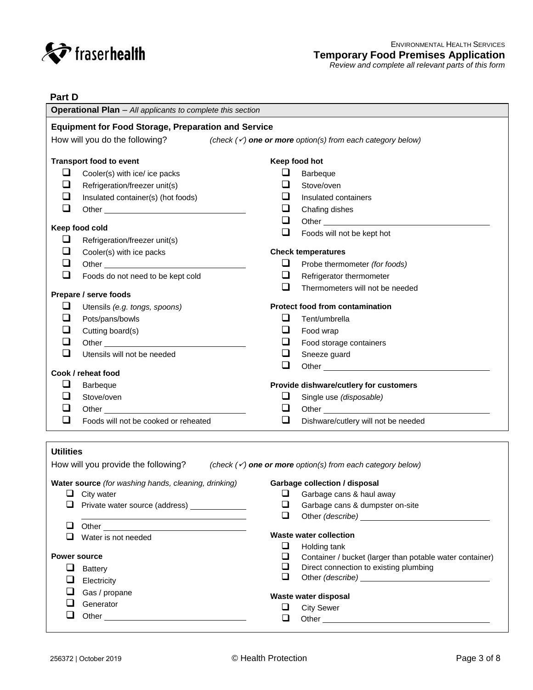

| Part D                                                                                                   |                                                                                                                                                                                                                                |        |                                                                                                                                                                                                                                      |  |
|----------------------------------------------------------------------------------------------------------|--------------------------------------------------------------------------------------------------------------------------------------------------------------------------------------------------------------------------------|--------|--------------------------------------------------------------------------------------------------------------------------------------------------------------------------------------------------------------------------------------|--|
| <b>Operational Plan</b> - All applicants to complete this section                                        |                                                                                                                                                                                                                                |        |                                                                                                                                                                                                                                      |  |
|                                                                                                          | <b>Equipment for Food Storage, Preparation and Service</b>                                                                                                                                                                     |        |                                                                                                                                                                                                                                      |  |
| How will you do the following? (check $(\check{\prime})$ one or more option(s) from each category below) |                                                                                                                                                                                                                                |        |                                                                                                                                                                                                                                      |  |
|                                                                                                          |                                                                                                                                                                                                                                |        |                                                                                                                                                                                                                                      |  |
|                                                                                                          | <b>Transport food to event</b>                                                                                                                                                                                                 |        | Keep food hot                                                                                                                                                                                                                        |  |
| ❏                                                                                                        | Cooler(s) with ice/ ice packs                                                                                                                                                                                                  | ⊔      | Barbeque                                                                                                                                                                                                                             |  |
| ❏                                                                                                        | Refrigeration/freezer unit(s)                                                                                                                                                                                                  | $\Box$ | Stove/oven                                                                                                                                                                                                                           |  |
| ப                                                                                                        | Insulated container(s) (hot foods)                                                                                                                                                                                             |        | Insulated containers                                                                                                                                                                                                                 |  |
| ❏                                                                                                        | Other example and the state of the state of the state of the state of the state of the state of the state of the state of the state of the state of the state of the state of the state of the state of the state of the state | ⊔      | Chafing dishes                                                                                                                                                                                                                       |  |
|                                                                                                          |                                                                                                                                                                                                                                | ❏      |                                                                                                                                                                                                                                      |  |
|                                                                                                          | Keep food cold                                                                                                                                                                                                                 | $\Box$ | Foods will not be kept hot                                                                                                                                                                                                           |  |
| ❏                                                                                                        | Refrigeration/freezer unit(s)                                                                                                                                                                                                  |        |                                                                                                                                                                                                                                      |  |
| ப                                                                                                        | Cooler(s) with ice packs                                                                                                                                                                                                       |        | <b>Check temperatures</b>                                                                                                                                                                                                            |  |
| ⊔                                                                                                        |                                                                                                                                                                                                                                | ❏      | Probe thermometer (for foods)                                                                                                                                                                                                        |  |
| ❏                                                                                                        | Foods do not need to be kept cold                                                                                                                                                                                              | ⊔      | Refrigerator thermometer                                                                                                                                                                                                             |  |
|                                                                                                          | Prepare / serve foods                                                                                                                                                                                                          | ❏      | Thermometers will not be needed                                                                                                                                                                                                      |  |
| $\Box$                                                                                                   | Utensils (e.g. tongs, spoons)                                                                                                                                                                                                  |        | <b>Protect food from contamination</b>                                                                                                                                                                                               |  |
|                                                                                                          | Pots/pans/bowls                                                                                                                                                                                                                | ப      | Tent/umbrella                                                                                                                                                                                                                        |  |
|                                                                                                          | Cutting board(s)                                                                                                                                                                                                               | ⊔      | Food wrap                                                                                                                                                                                                                            |  |
| ⊔                                                                                                        | Other                                                                                                                                                                                                                          | ⊔      | Food storage containers                                                                                                                                                                                                              |  |
| ❏                                                                                                        | Utensils will not be needed                                                                                                                                                                                                    | ❏      | Sneeze guard                                                                                                                                                                                                                         |  |
|                                                                                                          |                                                                                                                                                                                                                                | $\Box$ | Other <u>example and the set of the set of the set of the set of the set of the set of the set of the set of the set of the set of the set of the set of the set of the set of the set of the set of the set of the set of the s</u> |  |
|                                                                                                          | Cook / reheat food                                                                                                                                                                                                             |        |                                                                                                                                                                                                                                      |  |
| ⊔                                                                                                        | Barbeque                                                                                                                                                                                                                       |        | Provide dishware/cutlery for customers                                                                                                                                                                                               |  |
| ப                                                                                                        | Stove/oven                                                                                                                                                                                                                     | ⊔      | Single use (disposable)                                                                                                                                                                                                              |  |
| ⊔                                                                                                        |                                                                                                                                                                                                                                | ❏      |                                                                                                                                                                                                                                      |  |
| ❏                                                                                                        | Foods will not be cooked or reheated                                                                                                                                                                                           | ❏      | Dishware/cutlery will not be needed                                                                                                                                                                                                  |  |
|                                                                                                          |                                                                                                                                                                                                                                |        |                                                                                                                                                                                                                                      |  |
| <b>Utilities</b>                                                                                         |                                                                                                                                                                                                                                |        |                                                                                                                                                                                                                                      |  |
|                                                                                                          | How will you provide the following? (check $(\checkmark)$ one or more option(s) from each category below)                                                                                                                      |        |                                                                                                                                                                                                                                      |  |
|                                                                                                          | Water source (for washing hands, cleaning, drinking)                                                                                                                                                                           |        | Garbage collection / disposal                                                                                                                                                                                                        |  |
|                                                                                                          | City water                                                                                                                                                                                                                     | ❏      | Garbage cans & haul away                                                                                                                                                                                                             |  |
|                                                                                                          | Private water source (address) _____________                                                                                                                                                                                   | ⊔      | Garbage cans & dumpster on-site                                                                                                                                                                                                      |  |
|                                                                                                          |                                                                                                                                                                                                                                | $\Box$ |                                                                                                                                                                                                                                      |  |
| ⊔                                                                                                        |                                                                                                                                                                                                                                |        |                                                                                                                                                                                                                                      |  |
|                                                                                                          | Water is not needed                                                                                                                                                                                                            | ❏      | <b>Waste water collection</b>                                                                                                                                                                                                        |  |
|                                                                                                          | <b>Power source</b>                                                                                                                                                                                                            | ❏      | Holding tank<br>Container / bucket (larger than potable water container)                                                                                                                                                             |  |
| ⊔                                                                                                        | <b>Battery</b>                                                                                                                                                                                                                 | ❏      | Direct connection to existing plumbing                                                                                                                                                                                               |  |
| ⊔                                                                                                        | Electricity                                                                                                                                                                                                                    | $\Box$ |                                                                                                                                                                                                                                      |  |
|                                                                                                          | Gas / propane                                                                                                                                                                                                                  |        |                                                                                                                                                                                                                                      |  |
|                                                                                                          | Generator                                                                                                                                                                                                                      |        | Waste water disposal                                                                                                                                                                                                                 |  |
|                                                                                                          |                                                                                                                                                                                                                                | ❏      | <b>City Sewer</b>                                                                                                                                                                                                                    |  |
|                                                                                                          |                                                                                                                                                                                                                                | $\Box$ | Other_                                                                                                                                                                                                                               |  |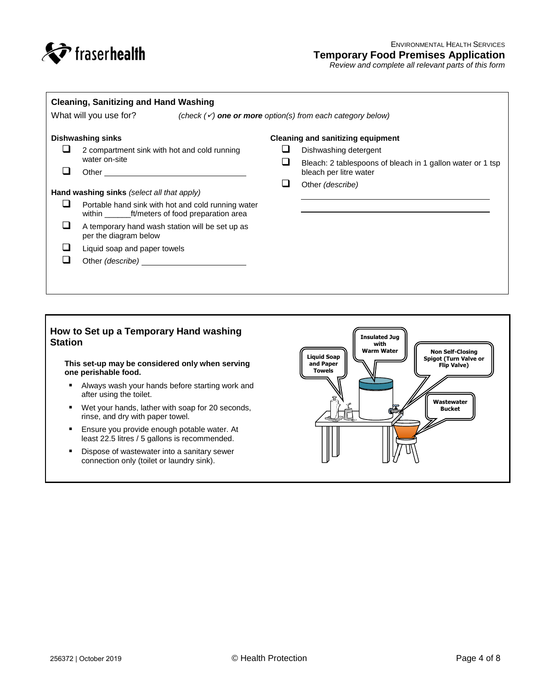

| <b>Cleaning, Sanitizing and Hand Washing</b><br>What will you use for?<br>(check $(\checkmark)$ one or more option(s) from each category below) |                                                                                                             |  |                                                                                       |
|-------------------------------------------------------------------------------------------------------------------------------------------------|-------------------------------------------------------------------------------------------------------------|--|---------------------------------------------------------------------------------------|
|                                                                                                                                                 | <b>Dishwashing sinks</b>                                                                                    |  | <b>Cleaning and sanitizing equipment</b>                                              |
|                                                                                                                                                 | 2 compartment sink with hot and cold running<br>water on-site                                               |  | Dishwashing detergent                                                                 |
|                                                                                                                                                 | Other                                                                                                       |  | Bleach: 2 tablespoons of bleach in 1 gallon water or 1 tsp.<br>bleach per litre water |
|                                                                                                                                                 |                                                                                                             |  | Other (describe)                                                                      |
|                                                                                                                                                 | Hand washing sinks (select all that apply)                                                                  |  |                                                                                       |
|                                                                                                                                                 | Portable hand sink with hot and cold running water<br>within ____________ft/meters of food preparation area |  |                                                                                       |
|                                                                                                                                                 | A temporary hand wash station will be set up as<br>per the diagram below                                    |  |                                                                                       |
|                                                                                                                                                 | Liquid soap and paper towels                                                                                |  |                                                                                       |
|                                                                                                                                                 |                                                                                                             |  |                                                                                       |
|                                                                                                                                                 |                                                                                                             |  |                                                                                       |

# **How to Set up a Temporary Hand washing Station**

**This set-up may be considered only when serving one perishable food.**

- **Always wash your hands before starting work and** after using the toilet.
- Wet your hands, lather with soap for 20 seconds, rinse, and dry with paper towel.
- **Ensure you provide enough potable water. At** least 22.5 litres / 5 gallons is recommended.
- **Dispose of wastewater into a sanitary sewer** connection only (toilet or laundry sink).

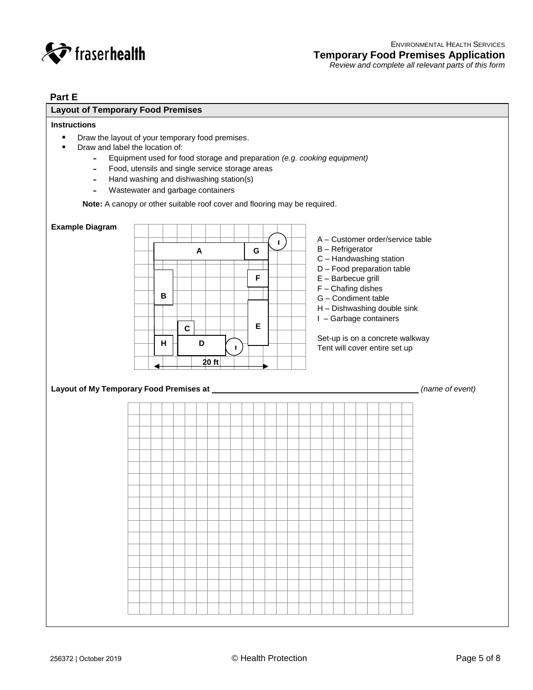

# **Part E**

# **Layout of Temporary Food Premises**

# **Instructions**

- **•** Draw the layout of your temporary food premises.
- **•** Draw and label the location of:
	- **˗** Equipment used for food storage and preparation *(e.g. cooking equipment)*
	- **˗** Food, utensils and single service storage areas
	- **-** Hand washing and dishwashing station(s)
	- **˗** Wastewater and garbage containers

**Note:** A canopy or other suitable roof cover and flooring may be required.

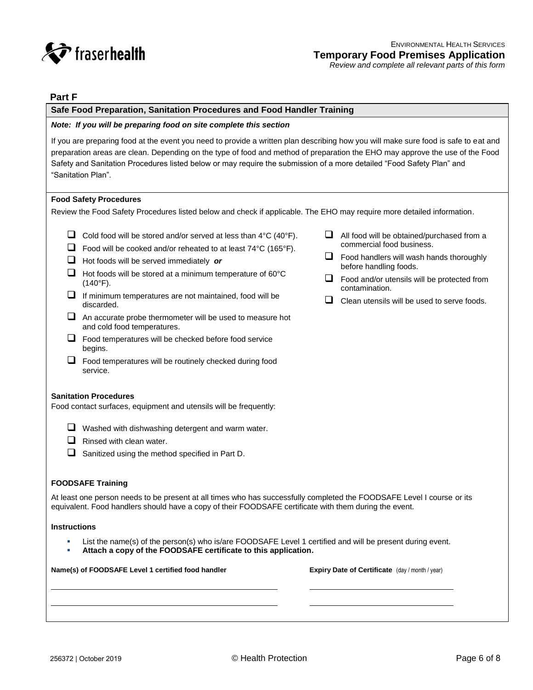

## **Part F**

#### **Safe Food Preparation, Sanitation Procedures and Food Handler Training**

#### *Note: If you will be preparing food on site complete this section*

If you are preparing food at the event you need to provide a written plan describing how you will make sure food is safe to eat and preparation areas are clean. Depending on the type of food and method of preparation the EHO may approve the use of the Food Safety and Sanitation Procedures listed below or may require the submission of a more detailed "Food Safety Plan" and "Sanitation Plan".

#### **Food Safety Procedures**

Review the Food Safety Procedures listed below and check if applicable. The EHO may require more detailed information.

- Cold food will be stored and/or served at less than  $4^{\circ}C$  (40 $^{\circ}F$ ).
- $\Box$  Food will be cooked and/or reheated to at least 74°C (165°F).
- Hot foods will be served immediately *or*
- $\Box$  Hot foods will be stored at a minimum temperature of 60 $\degree$ C (140°F).
- $\Box$  If minimum temperatures are not maintained, food will be discarded.
- $\Box$  An accurate probe thermometer will be used to measure hot and cold food temperatures.
- $\Box$  Food temperatures will be checked before food service begins.
- $\Box$  Food temperatures will be routinely checked during food service.

#### **Sanitation Procedures**

Food contact surfaces, equipment and utensils will be frequently:

- $\Box$  Washed with dishwashing detergent and warm water.
- $\Box$  Rinsed with clean water.
- $\Box$  Sanitized using the method specified in Part D.

#### **FOODSAFE Training**

At least one person needs to be present at all times who has successfully completed the FOODSAFE Level I course or its equivalent. Food handlers should have a copy of their FOODSAFE certificate with them during the event.

#### **Instructions**

- List the name(s) of the person(s) who is/are FOODSAFE Level 1 certified and will be present during event.
- **Attach a copy of the FOODSAFE certificate to this application.**

#### **Name(s) of FOODSAFE Level 1 certified food handler Expiry Date of Certificate** (day / month / year)

- $\Box$  All food will be obtained/purchased from a commercial food business.
- $\Box$  Food handlers will wash hands thoroughly before handling foods.
- $\Box$  Food and/or utensils will be protected from contamination.
- $\Box$  Clean utensils will be used to serve foods.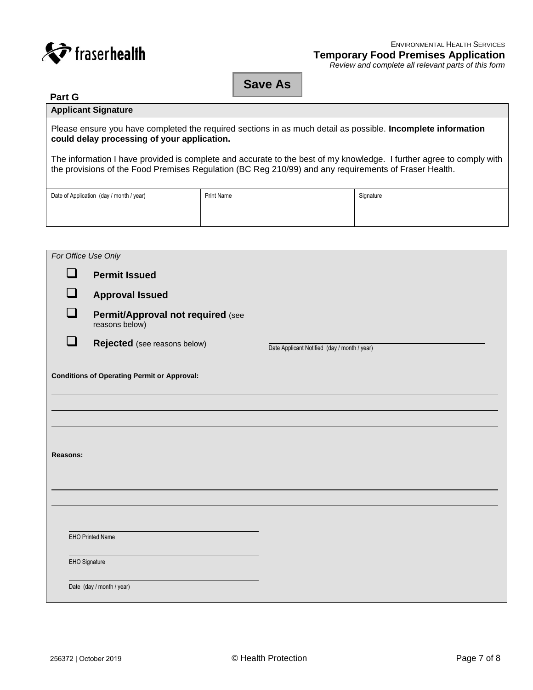

# **Save As**

# **Part G Applicant Signature**

Please ensure you have completed the required sections in as much detail as possible. **Incomplete information could delay processing of your application.**

The information I have provided is complete and accurate to the best of my knowledge. I further agree to comply with the provisions of the Food Premises Regulation (BC Reg 210/99) and any requirements of Fraser Health.

| Date of Application (day / month / year) | <b>Print Name</b> | Signature |
|------------------------------------------|-------------------|-----------|
|                                          |                   |           |
|                                          |                   |           |

|                             | For Office Use Only                                 |                                              |  |  |
|-----------------------------|-----------------------------------------------------|----------------------------------------------|--|--|
| $\Box$                      | <b>Permit Issued</b>                                |                                              |  |  |
| $\mathcal{L}_{\mathcal{A}}$ | <b>Approval Issued</b>                              |                                              |  |  |
|                             | Permit/Approval not required (see<br>reasons below) |                                              |  |  |
| n l                         | Rejected (see reasons below)                        | Date Applicant Notified (day / month / year) |  |  |
|                             | <b>Conditions of Operating Permit or Approval:</b>  |                                              |  |  |
|                             |                                                     |                                              |  |  |
|                             |                                                     |                                              |  |  |
|                             |                                                     |                                              |  |  |
|                             | <b>Reasons:</b>                                     |                                              |  |  |
|                             |                                                     |                                              |  |  |
|                             |                                                     |                                              |  |  |
|                             |                                                     |                                              |  |  |
|                             | EHO Printed Name                                    |                                              |  |  |
|                             | EHO Signature                                       |                                              |  |  |
|                             | Date (day / month / year)                           |                                              |  |  |